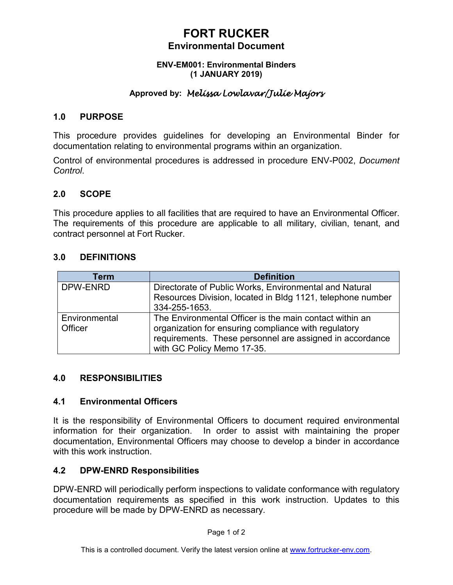### **FORT RUCKER Environmental Document**

#### **ENV-EM001: Environmental Binders (1 JANUARY 2019)**

### **Approved by:** *Melissa Lowlavar/Julie Majors*

#### **1.0 PURPOSE**

This procedure provides guidelines for developing an Environmental Binder for documentation relating to environmental programs within an organization.

Control of environmental procedures is addressed in procedure ENV-P002, *Document Control*.

#### **2.0 SCOPE**

This procedure applies to all facilities that are required to have an Environmental Officer. The requirements of this procedure are applicable to all military, civilian, tenant, and contract personnel at Fort Rucker.

#### **3.0 DEFINITIONS**

| Term          | <b>Definition</b>                                                                                                                              |
|---------------|------------------------------------------------------------------------------------------------------------------------------------------------|
| DPW-ENRD      | Directorate of Public Works, Environmental and Natural<br>Resources Division, located in Bldg 1121, telephone number                           |
|               | 334-255-1653.                                                                                                                                  |
| Environmental | The Environmental Officer is the main contact within an                                                                                        |
| Officer       | organization for ensuring compliance with regulatory<br>requirements. These personnel are assigned in accordance<br>with GC Policy Memo 17-35. |

#### **4.0 RESPONSIBILITIES**

#### **4.1 Environmental Officers**

It is the responsibility of Environmental Officers to document required environmental information for their organization. In order to assist with maintaining the proper documentation, Environmental Officers may choose to develop a binder in accordance with this work instruction

#### **4.2 DPW-ENRD Responsibilities**

DPW-ENRD will periodically perform inspections to validate conformance with regulatory documentation requirements as specified in this work instruction. Updates to this procedure will be made by DPW-ENRD as necessary.

Page 1 of 2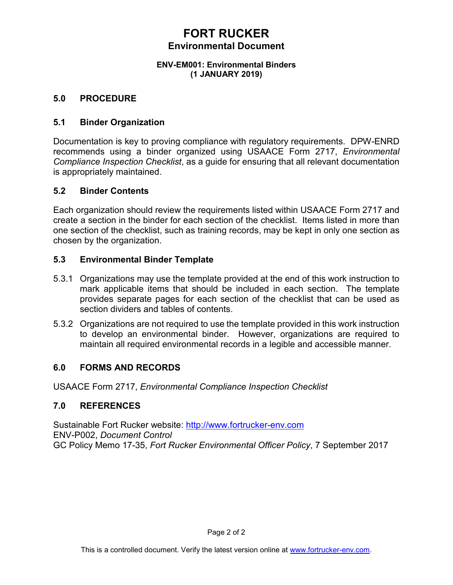### **FORT RUCKER Environmental Document**

#### **ENV-EM001: Environmental Binders (1 JANUARY 2019)**

#### **5.0 PROCEDURE**

#### **5.1 Binder Organization**

Documentation is key to proving compliance with regulatory requirements. DPW-ENRD recommends using a binder organized using USAACE Form 2717, *Environmental Compliance Inspection Checklist*, as a guide for ensuring that all relevant documentation is appropriately maintained.

#### **5.2 Binder Contents**

Each organization should review the requirements listed within USAACE Form 2717 and create a section in the binder for each section of the checklist. Items listed in more than one section of the checklist, such as training records, may be kept in only one section as chosen by the organization.

#### **5.3 Environmental Binder Template**

- 5.3.1 Organizations may use the template provided at the end of this work instruction to mark applicable items that should be included in each section. The template provides separate pages for each section of the checklist that can be used as section dividers and tables of contents.
- 5.3.2 Organizations are not required to use the template provided in this work instruction to develop an environmental binder. However, organizations are required to maintain all required environmental records in a legible and accessible manner.

#### **6.0 FORMS AND RECORDS**

USAACE Form 2717, *Environmental Compliance Inspection Checklist*

#### **7.0 REFERENCES**

Sustainable Fort Rucker website: [http://www.fortrucker-env.com](http://www.fortrucker-env.com/) ENV-P002, *Document Control* GC Policy Memo 17-35, *Fort Rucker Environmental Officer Policy*, 7 September 2017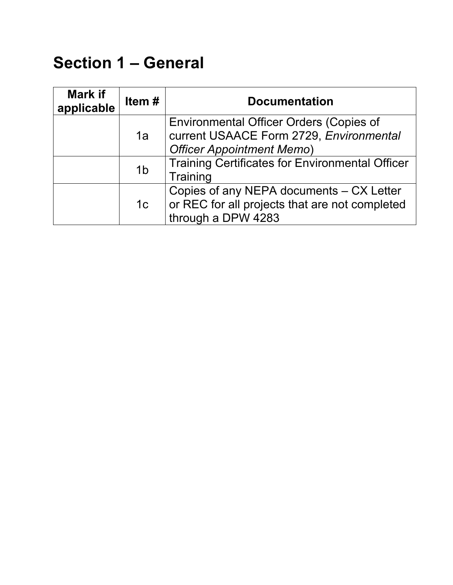## **Section 1 – General**

| <b>Mark if</b><br>applicable | Item#          | <b>Documentation</b>                                                                                                          |
|------------------------------|----------------|-------------------------------------------------------------------------------------------------------------------------------|
|                              | 1a             | <b>Environmental Officer Orders (Copies of</b><br>current USAACE Form 2729, Environmental<br><b>Officer Appointment Memo)</b> |
|                              | 1 <sub>b</sub> | <b>Training Certificates for Environmental Officer</b><br>Training                                                            |
|                              | 1 <sub>c</sub> | Copies of any NEPA documents - CX Letter<br>or REC for all projects that are not completed<br>through a DPW 4283              |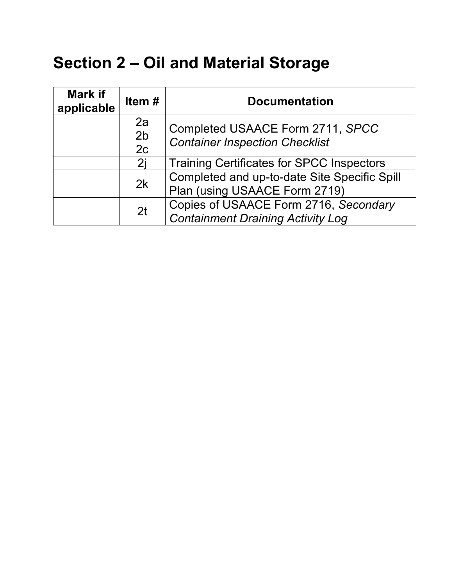# **Section 2 – Oil and Material Storage**

| <b>Mark if</b><br>applicable | Item #                     | <b>Documentation</b>                                                              |
|------------------------------|----------------------------|-----------------------------------------------------------------------------------|
|                              | 2a<br>2 <sub>b</sub><br>2c | Completed USAACE Form 2711, SPCC<br><b>Container Inspection Checklist</b>         |
|                              | 2i                         | Training Certificates for SPCC Inspectors                                         |
|                              | 2k                         | Completed and up-to-date Site Specific Spill<br>Plan (using USAACE Form 2719)     |
|                              | 2 <sub>t</sub>             | Copies of USAACE Form 2716, Secondary<br><b>Containment Draining Activity Log</b> |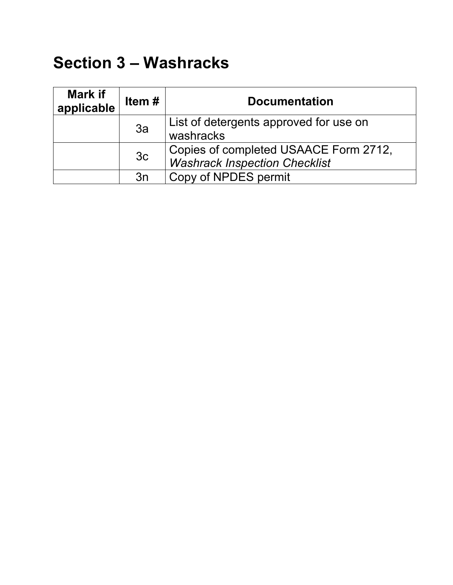## **Section 3 – Washracks**

| Mark if<br>applicable | Item $#$       | <b>Documentation</b>                                |
|-----------------------|----------------|-----------------------------------------------------|
|                       | 3a             | List of detergents approved for use on<br>washracks |
|                       |                | Copies of completed USAACE Form 2712,               |
|                       | 3 <sub>c</sub> | <b>Washrack Inspection Checklist</b>                |
|                       | 3n             | Copy of NPDES permit                                |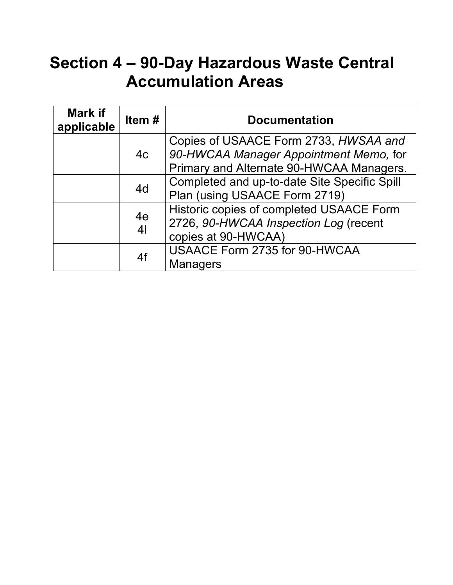# **Section 4 – 90-Day Hazardous Waste Central Accumulation Areas**

| <b>Mark if</b><br>applicable | Item $#$             | <b>Documentation</b>                                                                                                        |
|------------------------------|----------------------|-----------------------------------------------------------------------------------------------------------------------------|
|                              | 4c                   | Copies of USAACE Form 2733, HWSAA and<br>90-HWCAA Manager Appointment Memo, for<br>Primary and Alternate 90-HWCAA Managers. |
|                              | 4d                   | Completed and up-to-date Site Specific Spill<br>Plan (using USAACE Form 2719)                                               |
|                              | 4e<br>4 <sub>l</sub> | Historic copies of completed USAACE Form<br>2726, 90-HWCAA Inspection Log (recent<br>copies at 90-HWCAA)                    |
|                              | 4f                   | USAACE Form 2735 for 90-HWCAA<br><b>Managers</b>                                                                            |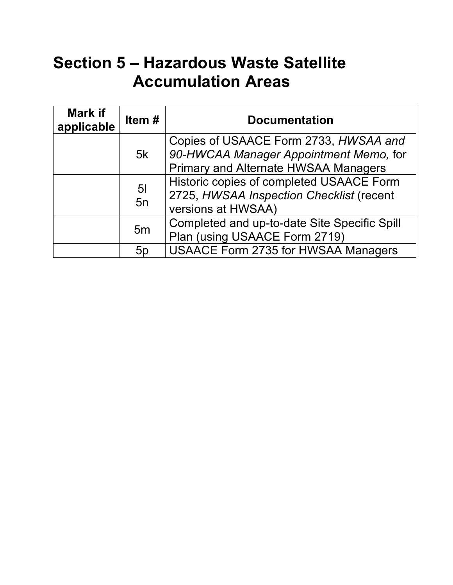# **Section 5 – Hazardous Waste Satellite Accumulation Areas**

| <b>Mark if</b><br>applicable | Item $#$             | <b>Documentation</b>                                                                                                           |
|------------------------------|----------------------|--------------------------------------------------------------------------------------------------------------------------------|
|                              | 5k                   | Copies of USAACE Form 2733, HWSAA and<br>90-HWCAA Manager Appointment Memo, for<br><b>Primary and Alternate HWSAA Managers</b> |
|                              | 5 <sub>l</sub><br>5n | Historic copies of completed USAACE Form<br>2725, HWSAA Inspection Checklist (recent<br>versions at HWSAA)                     |
|                              | 5 <sub>m</sub>       | Completed and up-to-date Site Specific Spill<br>Plan (using USAACE Form 2719)                                                  |
|                              | 5p                   | <b>USAACE Form 2735 for HWSAA Managers</b>                                                                                     |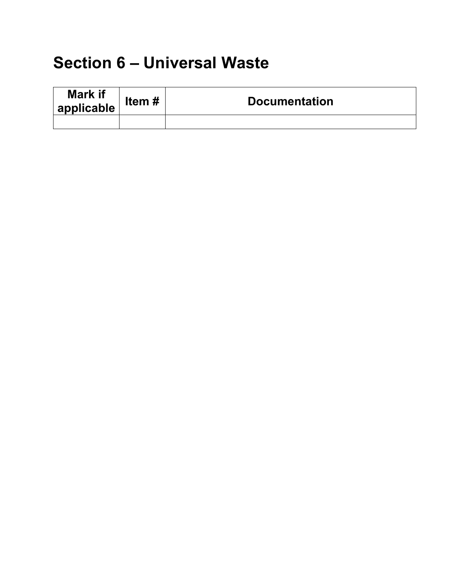# **Section 6 – Universal Waste**

| <b>Mark if</b><br>$\frac{1}{2}$ applicable | Item# | <b>Documentation</b> |
|--------------------------------------------|-------|----------------------|
|                                            |       |                      |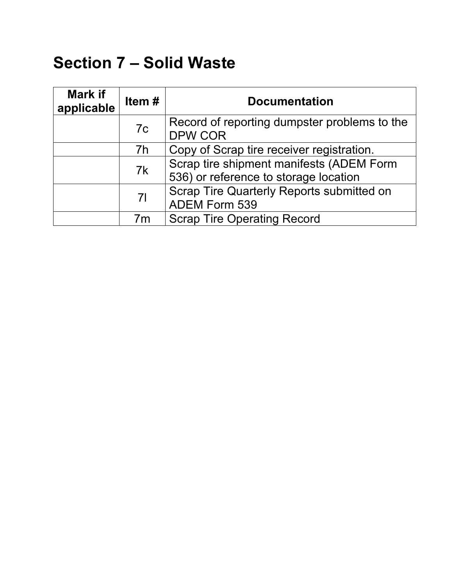# **Section 7 – Solid Waste**

| <b>Mark if</b><br>applicable | Item#          | <b>Documentation</b>                                                              |
|------------------------------|----------------|-----------------------------------------------------------------------------------|
|                              | 7c             | Record of reporting dumpster problems to the<br><b>DPW COR</b>                    |
|                              | 7h             | Copy of Scrap tire receiver registration.                                         |
|                              | 7k             | Scrap tire shipment manifests (ADEM Form<br>536) or reference to storage location |
|                              | 7 <sup>1</sup> | Scrap Tire Quarterly Reports submitted on<br>ADEM Form 539                        |
|                              | 7m             | <b>Scrap Tire Operating Record</b>                                                |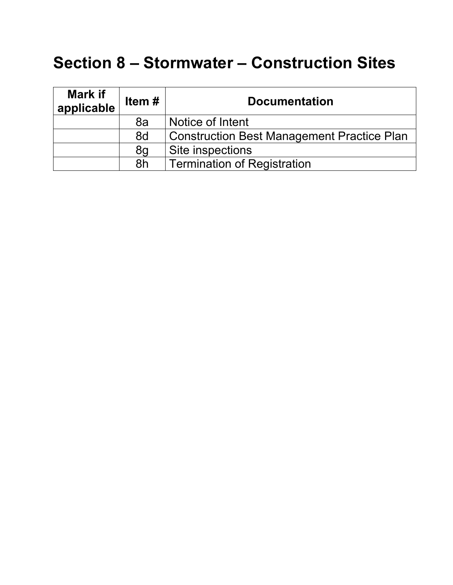### **Section 8 – Stormwater – Construction Sites**

| <b>Mark if</b><br>applicable | Item $#$ | <b>Documentation</b>                       |
|------------------------------|----------|--------------------------------------------|
|                              | 8a       | Notice of Intent                           |
|                              | 8d       | Construction Best Management Practice Plan |
|                              | 8g       | Site inspections                           |
|                              | 8h       | Termination of Registration                |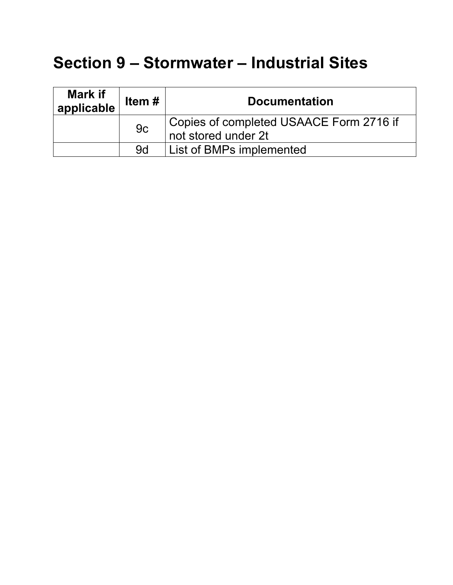# **Section 9 – Stormwater – Industrial Sites**

| Mark if<br>applicable | Item $#$ | <b>Documentation</b>                                           |
|-----------------------|----------|----------------------------------------------------------------|
|                       | 9c       | Copies of completed USAACE Form 2716 if<br>not stored under 2t |
|                       | .9d      | List of BMPs implemented                                       |